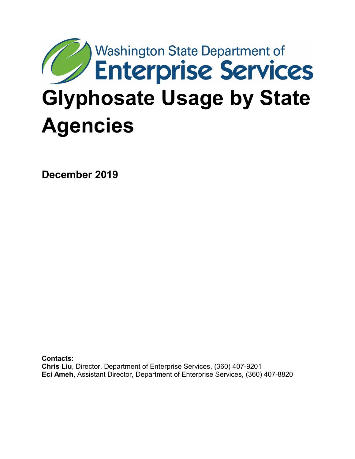# **Washington State Department of** Enterprise Services **Glyphosate Usage by State Agencies**

**December 2019**

**Contacts: Chris Liu**, Director, Department of Enterprise Services, (360) 407-9201 **Eci Ameh**, Assistant Director, Department of Enterprise Services, (360) 407-8820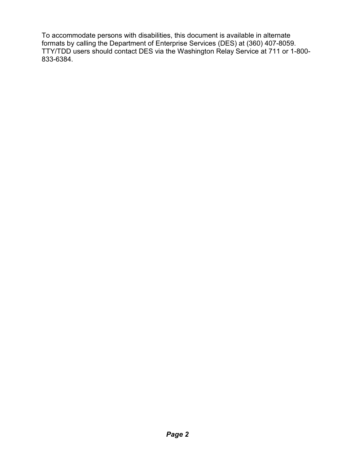To accommodate persons with disabilities, this document is available in alternate formats by calling the Department of Enterprise Services (DES) at (360) 407-8059. TTY/TDD users should contact DES via the Washington Relay Service at 711 or 1-800- 833-6384.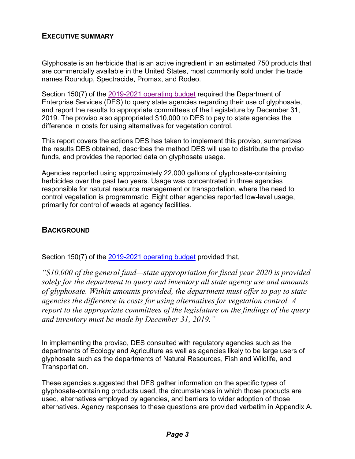## **EXECUTIVE SUMMARY**

Glyphosate is an herbicide that is an active ingredient in an estimated 750 products that are commercially available in the United States, most commonly sold under the trade names Roundup, Spectracide, Promax, and Rodeo.

Section 150(7) of the [2019-2021 operating budget](http://lawfilesext.leg.wa.gov/biennium/2019-20/Pdf/Bills/Session%20Laws/House/1109-S.SL.pdf?=60a80) required the Department of Enterprise Services (DES) to query state agencies regarding their use of glyphosate, and report the results to appropriate committees of the Legislature by December 31, 2019. The proviso also appropriated \$10,000 to DES to pay to state agencies the difference in costs for using alternatives for vegetation control.

This report covers the actions DES has taken to implement this proviso, summarizes the results DES obtained, describes the method DES will use to distribute the proviso funds, and provides the reported data on glyphosate usage.

Agencies reported using approximately 22,000 gallons of glyphosate-containing herbicides over the past two years. Usage was concentrated in three agencies responsible for natural resource management or transportation, where the need to control vegetation is programmatic. Eight other agencies reported low-level usage, primarily for control of weeds at agency facilities.

#### **BACKGROUND**

Section 150(7) of the [2019-2021 operating budget](http://lawfilesext.leg.wa.gov/biennium/2019-20/Pdf/Bills/Session%20Laws/House/1109-S.SL.pdf?=60a80) provided that,

*"\$10,000 of the general fund—state appropriation for fiscal year 2020 is provided solely for the department to query and inventory all state agency use and amounts of glyphosate. Within amounts provided, the department must offer to pay to state agencies the difference in costs for using alternatives for vegetation control. A report to the appropriate committees of the legislature on the findings of the query and inventory must be made by December 31, 2019."*

In implementing the proviso, DES consulted with regulatory agencies such as the departments of Ecology and Agriculture as well as agencies likely to be large users of glyphosate such as the departments of Natural Resources, Fish and Wildlife, and Transportation.

These agencies suggested that DES gather information on the specific types of glyphosate-containing products used, the circumstances in which those products are used, alternatives employed by agencies, and barriers to wider adoption of those alternatives. Agency responses to these questions are provided verbatim in Appendix A.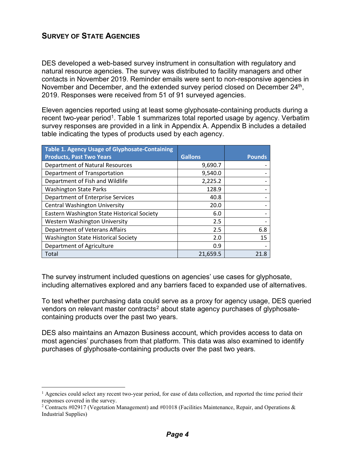# **SURVEY OF STATE AGENCIES**

DES developed a web-based survey instrument in consultation with regulatory and natural resource agencies. The survey was distributed to facility managers and other contacts in November 2019. Reminder emails were sent to non-responsive agencies in November and December, and the extended survey period closed on December 24<sup>th</sup>, 2019. Responses were received from 51 of 91 surveyed agencies.

Eleven agencies reported using at least some glyphosate-containing products during a recent two-year period<sup>[1](#page-3-0)</sup>. Table 1 summarizes total reported usage by agency. Verbatim survey responses are provided in a link in Appendix A. Appendix B includes a detailed table indicating the types of products used by each agency.

| Table 1. Agency Usage of Glyphosate-Containing |                |               |
|------------------------------------------------|----------------|---------------|
| <b>Products, Past Two Years</b>                | <b>Gallons</b> | <b>Pounds</b> |
| <b>Department of Natural Resources</b>         | 9,690.7        |               |
| Department of Transportation                   | 9,540.0        |               |
| Department of Fish and Wildlife                | 2,225.2        |               |
| <b>Washington State Parks</b>                  | 128.9          |               |
| Department of Enterprise Services              | 40.8           |               |
| <b>Central Washington University</b>           | 20.0           |               |
| Eastern Washington State Historical Society    | 6.0            |               |
| Western Washington University                  | 2.5            |               |
| Department of Veterans Affairs                 | 2.5            | 6.8           |
| <b>Washington State Historical Society</b>     | 2.0            | 15            |
| Department of Agriculture                      | 0.9            |               |
| Total                                          | 21,659.5       | 21.8          |

The survey instrument included questions on agencies' use cases for glyphosate, including alternatives explored and any barriers faced to expanded use of alternatives.

To test whether purchasing data could serve as a proxy for agency usage, DES queried vendors on relevant master contracts<sup>[2](#page-3-1)</sup> about state agency purchases of glyphosatecontaining products over the past two years.

DES also maintains an Amazon Business account, which provides access to data on most agencies' purchases from that platform. This data was also examined to identify purchases of glyphosate-containing products over the past two years.

<span id="page-3-0"></span> $<sup>1</sup>$  Agencies could select any recent two-year period, for ease of data collection, and reported the time period their</sup> responses covered in the survey.

<span id="page-3-1"></span><sup>&</sup>lt;sup>2</sup> Contracts #02917 (Vegetation Management) and #01018 (Facilities Maintenance, Repair, and Operations & Industrial Supplies)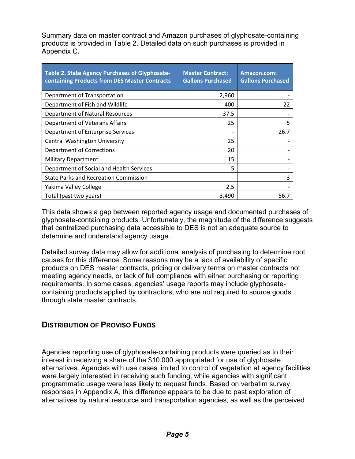Summary data on master contract and Amazon purchases of glyphosate-containing products is provided in Table 2. Detailed data on such purchases is provided in Appendix C.

| Table 2. State Agency Purchases of Glyphosate-<br>containing Products from DES Master Contracts | <b>Master Contract:</b><br><b>Gallons Purchased</b> | Amazon.com:<br><b>Gallons Purchased</b> |
|-------------------------------------------------------------------------------------------------|-----------------------------------------------------|-----------------------------------------|
| Department of Transportation                                                                    | 2,960                                               |                                         |
| Department of Fish and Wildlife                                                                 | 400                                                 | 22                                      |
| <b>Department of Natural Resources</b>                                                          | 37.5                                                |                                         |
| Department of Veterans Affairs                                                                  | 25                                                  | 5                                       |
| Department of Enterprise Services                                                               |                                                     | 26.7                                    |
| <b>Central Washington University</b>                                                            | 25                                                  |                                         |
| <b>Department of Corrections</b>                                                                | 20                                                  |                                         |
| <b>Military Department</b>                                                                      | 15                                                  |                                         |
| Department of Social and Health Services                                                        | 5                                                   |                                         |
| <b>State Parks and Recreation Commission</b>                                                    |                                                     | 3                                       |
| Yakima Valley College                                                                           | 2.5                                                 |                                         |
| Total (past two years)                                                                          | 3,490                                               | 56.7                                    |

This data shows a gap between reported agency usage and documented purchases of glyphosate-containing products. Unfortunately, the magnitude of the difference suggests that centralized purchasing data accessible to DES is not an adequate source to determine and understand agency usage.

Detailed survey data may allow for additional analysis of purchasing to determine root causes for this difference. Some reasons may be a lack of availability of specific products on DES master contracts, pricing or delivery terms on master contracts not meeting agency needs, or lack of full compliance with either purchasing or reporting requirements. In some cases, agencies' usage reports may include glyphosatecontaining products applied by contractors, who are not required to source goods through state master contracts.

## **DISTRIBUTION OF PROVISO FUNDS**

Agencies reporting use of glyphosate-containing products were queried as to their interest in receiving a share of the \$10,000 appropriated for use of glyphosate alternatives. Agencies with use cases limited to control of vegetation at agency facilities were largely interested in receiving such funding, while agencies with significant programmatic usage were less likely to request funds. Based on verbatim survey responses in Appendix A, this difference appears to be due to past exploration of alternatives by natural resource and transportation agencies, as well as the perceived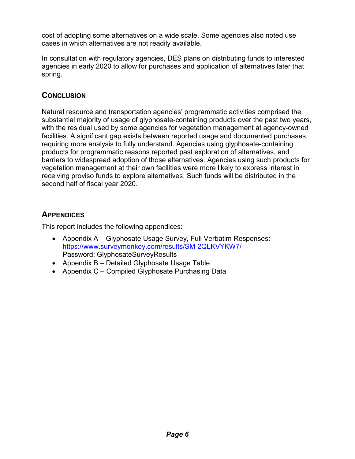cost of adopting some alternatives on a wide scale. Some agencies also noted use cases in which alternatives are not readily available.

In consultation with regulatory agencies, DES plans on distributing funds to interested agencies in early 2020 to allow for purchases and application of alternatives later that spring.

# **CONCLUSION**

Natural resource and transportation agencies' programmatic activities comprised the substantial majority of usage of glyphosate-containing products over the past two years, with the residual used by some agencies for vegetation management at agency-owned facilities. A significant gap exists between reported usage and documented purchases, requiring more analysis to fully understand. Agencies using glyphosate-containing products for programmatic reasons reported past exploration of alternatives, and barriers to widespread adoption of those alternatives. Agencies using such products for vegetation management at their own facilities were more likely to express interest in receiving proviso funds to explore alternatives. Such funds will be distributed in the second half of fiscal year 2020.

# **APPENDICES**

This report includes the following appendices:

- Appendix A Glyphosate Usage Survey, Full Verbatim Responses: <https://www.surveymonkey.com/results/SM-2QLKVYKW7/> Password: GlyphosateSurveyResults
- Appendix B Detailed Glyphosate Usage Table
- Appendix C Compiled Glyphosate Purchasing Data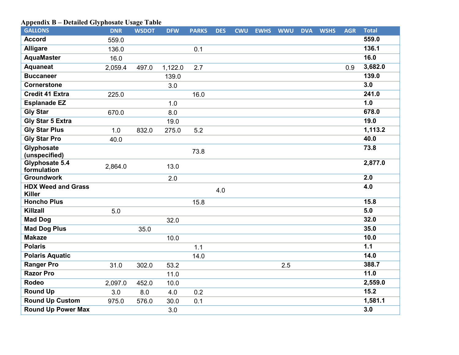# **Appendix B – Detailed Glyphosate Usage Table**

| <b>GALLONS</b>                     | <b>DNR</b> | <b>WSDOT</b> | <b>DFW</b> | <b>PARKS</b> | <b>DES</b> | <b>CWU</b> | <b>EWHS</b> | <b>WWU</b> | <b>DVA</b> | <b>WSHS</b> | <b>AGR</b> | <b>Total</b> |
|------------------------------------|------------|--------------|------------|--------------|------------|------------|-------------|------------|------------|-------------|------------|--------------|
| <b>Accord</b>                      | 559.0      |              |            |              |            |            |             |            |            |             |            | 559.0        |
| <b>Alligare</b>                    | 136.0      |              |            | 0.1          |            |            |             |            |            |             |            | 136.1        |
| <b>AquaMaster</b>                  | 16.0       |              |            |              |            |            |             |            |            |             |            | 16.0         |
| <b>Aquaneat</b>                    | 2,059.4    | 497.0        | 1,122.0    | 2.7          |            |            |             |            |            |             | 0.9        | 3,682.0      |
| <b>Buccaneer</b>                   |            |              | 139.0      |              |            |            |             |            |            |             |            | 139.0        |
| <b>Cornerstone</b>                 |            |              | 3.0        |              |            |            |             |            |            |             |            | 3.0          |
| <b>Credit 41 Extra</b>             | 225.0      |              |            | 16.0         |            |            |             |            |            |             |            | 241.0        |
| <b>Esplanade EZ</b>                |            |              | 1.0        |              |            |            |             |            |            |             |            | 1.0          |
| <b>Gly Star</b>                    | 670.0      |              | 8.0        |              |            |            |             |            |            |             |            | 678.0        |
| <b>Gly Star 5 Extra</b>            |            |              | 19.0       |              |            |            |             |            |            |             |            | 19.0         |
| <b>Gly Star Plus</b>               | 1.0        | 832.0        | 275.0      | 5.2          |            |            |             |            |            |             |            | 1,113.2      |
| <b>Gly Star Pro</b>                | 40.0       |              |            |              |            |            |             |            |            |             |            | 40.0         |
| <b>Glyphosate</b><br>(unspecified) |            |              |            | 73.8         |            |            |             |            |            |             |            | 73.8         |
| Glyphosate 5.4                     |            |              |            |              |            |            |             |            |            |             |            | 2,877.0      |
| formulation                        | 2,864.0    |              | 13.0       |              |            |            |             |            |            |             |            |              |
| <b>Groundwork</b>                  |            |              | 2.0        |              |            |            |             |            |            |             |            | 2.0          |
| <b>HDX Weed and Grass</b>          |            |              |            |              | 4.0        |            |             |            |            |             |            | 4.0          |
| <b>Killer</b>                      |            |              |            |              |            |            |             |            |            |             |            |              |
| <b>Honcho Plus</b>                 |            |              |            | 15.8         |            |            |             |            |            |             |            | 15.8         |
| <b>Killzall</b>                    | 5.0        |              |            |              |            |            |             |            |            |             |            | 5.0          |
| <b>Mad Dog</b>                     |            |              | 32.0       |              |            |            |             |            |            |             |            | 32.0         |
| <b>Mad Dog Plus</b>                |            | 35.0         |            |              |            |            |             |            |            |             |            | 35.0         |
| <b>Makaze</b>                      |            |              | 10.0       |              |            |            |             |            |            |             |            | 10.0         |
| <b>Polaris</b>                     |            |              |            | 1.1          |            |            |             |            |            |             |            | 1.1          |
| <b>Polaris Aquatic</b>             |            |              |            | 14.0         |            |            |             |            |            |             |            | 14.0         |
| <b>Ranger Pro</b>                  | 31.0       | 302.0        | 53.2       |              |            |            |             | 2.5        |            |             |            | 388.7        |
| <b>Razor Pro</b>                   |            |              | 11.0       |              |            |            |             |            |            |             |            | 11.0         |
| <b>Rodeo</b>                       | 2,097.0    | 452.0        | 10.0       |              |            |            |             |            |            |             |            | 2,559.0      |
| <b>Round Up</b>                    | 3.0        | 8.0          | 4.0        | 0.2          |            |            |             |            |            |             |            | 15.2         |
| <b>Round Up Custom</b>             | 975.0      | 576.0        | 30.0       | 0.1          |            |            |             |            |            |             |            | 1,581.1      |
| <b>Round Up Power Max</b>          |            |              | 3.0        |              |            |            |             |            |            |             |            | 3.0          |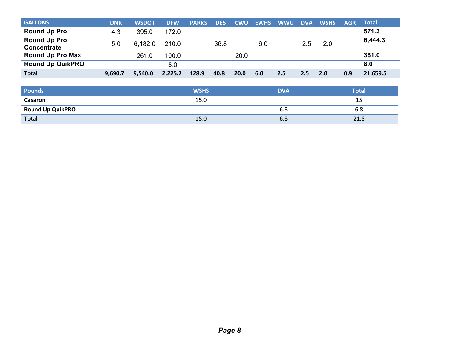| <b>GALLONS</b>                     | <b>DNR</b> | <b>WSDOT</b> | <b>DFW</b> | <b>PARKS</b> | <b>DES</b> | <b>CWU</b>  | <b>EWHS</b> | <b>WWU</b>    | <b>DVA</b> | <b>WSHS</b> | <b>AGR</b> | <b>Total</b> |
|------------------------------------|------------|--------------|------------|--------------|------------|-------------|-------------|---------------|------------|-------------|------------|--------------|
| <b>Round Up Pro</b>                | 4.3        | 395.0        | 172.0      |              |            |             |             |               |            |             |            | 571.3        |
| <b>Round Up Pro</b><br>Concentrate | 5.0        | 6,182.0      | 210.0      |              | 36.8       |             | 6.0         |               | 2.5        | 2.0         |            | 6,444.3      |
| <b>Round Up Pro Max</b>            |            | 261.0        | 100.0      |              |            | 20.0        |             |               |            |             |            | 381.0        |
| <b>Round Up QuikPRO</b>            |            |              | 8.0        |              |            |             |             |               |            |             |            | 8.0          |
| <b>Total</b>                       | 9,690.7    | 9.540.0      | 2,225.2    | 128.9        | 40.8       | <b>20.0</b> | 6.0         | $2.5^{\circ}$ | 2.5        | 2.0         | 0.9        | 21,659.5     |

| <b>Pounds</b>           | <b>WSHS</b> | <b>DVA</b> | Total       |
|-------------------------|-------------|------------|-------------|
| Casaron                 | 15.0        |            | --          |
| <b>Round Up QuikPRO</b> |             | ხ.8        | 6.8         |
| <b>Total</b>            | 15.0        | 6.8        | า 1<br>21.8 |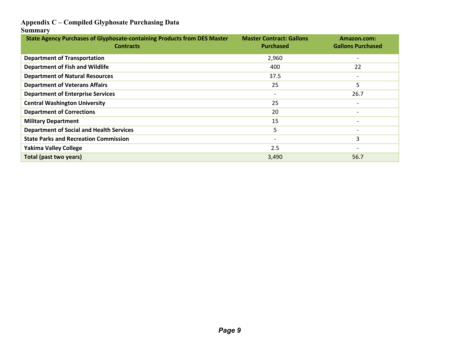#### **Appendix C – Compiled Glyphosate Purchasing Data**

#### **Summary**

| <b>State Agency Purchases of Glyphosate-containing Products from DES Master</b><br><b>Contracts</b> | <b>Master Contract: Gallons</b><br><b>Purchased</b> | Amazon.com:<br><b>Gallons Purchased</b> |
|-----------------------------------------------------------------------------------------------------|-----------------------------------------------------|-----------------------------------------|
| <b>Department of Transportation</b>                                                                 | 2,960                                               | $\overline{\phantom{a}}$                |
| <b>Department of Fish and Wildlife</b>                                                              | 400                                                 | 22                                      |
| <b>Department of Natural Resources</b>                                                              | 37.5                                                | $\overline{\phantom{0}}$                |
| <b>Department of Veterans Affairs</b>                                                               | 25                                                  | 5                                       |
| <b>Department of Enterprise Services</b>                                                            | $\overline{\phantom{a}}$                            | 26.7                                    |
| <b>Central Washington University</b>                                                                | 25                                                  |                                         |
| <b>Department of Corrections</b>                                                                    | 20                                                  |                                         |
| <b>Military Department</b>                                                                          | 15                                                  |                                         |
| <b>Department of Social and Health Services</b>                                                     | 5                                                   |                                         |
| <b>State Parks and Recreation Commission</b>                                                        | $\overline{\phantom{a}}$                            | 3                                       |
| <b>Yakima Valley College</b>                                                                        | 2.5                                                 |                                         |
| Total (past two years)                                                                              | 3,490                                               | 56.7                                    |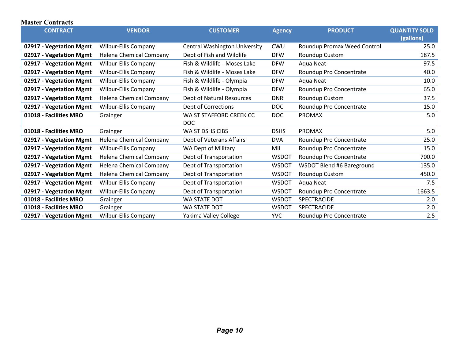#### **Master Contracts**

| <b>CONTRACT</b>         | <b>VENDOR</b>                  | <b>CUSTOMER</b>                      | <b>Agency</b> | <b>PRODUCT</b>              | <b>QUANTITY SOLD</b> |  |
|-------------------------|--------------------------------|--------------------------------------|---------------|-----------------------------|----------------------|--|
|                         |                                |                                      |               |                             | (gallons)            |  |
| 02917 - Vegetation Mgmt | Wilbur-Ellis Company           | <b>Central Washington University</b> | CWU           | Roundup Promax Weed Control | 25.0                 |  |
| 02917 - Vegetation Mgmt | Helena Chemical Company        | Dept of Fish and Wildlife            | <b>DFW</b>    | Roundup Custom              | 187.5                |  |
| 02917 - Vegetation Mgmt | Wilbur-Ellis Company           | Fish & Wildlife - Moses Lake         | <b>DFW</b>    | Aqua Neat                   | 97.5                 |  |
| 02917 - Vegetation Mgmt | <b>Wilbur-Ellis Company</b>    | Fish & Wildlife - Moses Lake         | <b>DFW</b>    | Roundup Pro Concentrate     | 40.0                 |  |
| 02917 - Vegetation Mgmt | <b>Wilbur-Ellis Company</b>    | Fish & Wildlife - Olympia            | <b>DFW</b>    | Aqua Neat                   | 10.0                 |  |
| 02917 - Vegetation Mgmt | Wilbur-Ellis Company           | Fish & Wildlife - Olympia            | <b>DFW</b>    | Roundup Pro Concentrate     | 65.0                 |  |
| 02917 - Vegetation Mgmt | <b>Helena Chemical Company</b> | Dept of Natural Resources            | <b>DNR</b>    | Roundup Custom              | 37.5                 |  |
| 02917 - Vegetation Mgmt | Wilbur-Ellis Company           | Dept of Corrections                  | <b>DOC</b>    | Roundup Pro Concentrate     | 15.0                 |  |
| 01018 - Facilities MRO  | Grainger                       | WA ST STAFFORD CREEK CC              | DOC           | <b>PROMAX</b>               | 5.0                  |  |
|                         |                                | <b>DOC</b>                           |               |                             |                      |  |
| 01018 - Facilities MRO  | Grainger                       | WA ST DSHS CIBS                      | <b>DSHS</b>   | <b>PROMAX</b>               | 5.0                  |  |
| 02917 - Vegetation Mgmt | <b>Helena Chemical Company</b> | Dept of Veterans Affairs             | <b>DVA</b>    | Roundup Pro Concentrate     | 25.0                 |  |
| 02917 - Vegetation Mgmt | <b>Wilbur-Ellis Company</b>    | <b>WA Dept of Military</b>           | MIL           | Roundup Pro Concentrate     | 15.0                 |  |
| 02917 - Vegetation Mgmt | Helena Chemical Company        | Dept of Transportation               | <b>WSDOT</b>  | Roundup Pro Concentrate     | 700.0                |  |
| 02917 - Vegetation Mgmt | Helena Chemical Company        | Dept of Transportation               | <b>WSDOT</b>  | WSDOT Blend #6 Bareground   | 135.0                |  |
| 02917 - Vegetation Mgmt | <b>Helena Chemical Company</b> | Dept of Transportation               | <b>WSDOT</b>  | Roundup Custom              | 450.0                |  |
| 02917 - Vegetation Mgmt | <b>Wilbur-Ellis Company</b>    | Dept of Transportation               | <b>WSDOT</b>  | Aqua Neat                   | 7.5                  |  |
| 02917 - Vegetation Mgmt | <b>Wilbur-Ellis Company</b>    | Dept of Transportation               | <b>WSDOT</b>  | Roundup Pro Concentrate     | 1663.5               |  |
| 01018 - Facilities MRO  | Grainger                       | WA STATE DOT                         | <b>WSDOT</b>  | SPECTRACIDE                 | 2.0                  |  |
| 01018 - Facilities MRO  | Grainger                       | <b>WA STATE DOT</b>                  | <b>WSDOT</b>  | SPECTRACIDE                 | 2.0                  |  |
| 02917 - Vegetation Mgmt | <b>Wilbur-Ellis Company</b>    | Yakima Valley College                | <b>YVC</b>    | Roundup Pro Concentrate     | 2.5                  |  |